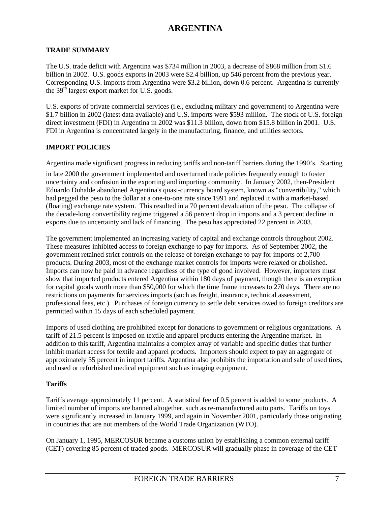### **TRADE SUMMARY**

The U.S. trade deficit with Argentina was \$734 million in 2003, a decrease of \$868 million from \$1.6 billion in 2002. U.S. goods exports in 2003 were \$2.4 billion, up 546 percent from the previous year. Corresponding U.S. imports from Argentina were \$3.2 billion, down 0.6 percent. Argentina is currently the  $39<sup>th</sup>$  largest export market for U.S. goods.

U.S. exports of private commercial services (i.e., excluding military and government) to Argentina were \$1.7 billion in 2002 (latest data available) and U.S. imports were \$593 million. The stock of U.S. foreign direct investment (FDI) in Argentina in 2002 was \$11.3 billion, down from \$15.8 billion in 2001. U.S. FDI in Argentina is concentrated largely in the manufacturing, finance, and utilities sectors.

### **IMPORT POLICIES**

Argentina made significant progress in reducing tariffs and non-tariff barriers during the 1990's. Starting

in late 2000 the government implemented and overturned trade policies frequently enough to foster uncertainty and confusion in the exporting and importing community. In January 2002, then-President Eduardo Duhalde abandoned Argentina's quasi-currency board system, known as "convertibility," which had pegged the peso to the dollar at a one-to-one rate since 1991 and replaced it with a market-based (floating) exchange rate system. This resulted in a 70 percent devaluation of the peso. The collapse of the decade-long convertibility regime triggered a 56 percent drop in imports and a 3 percent decline in exports due to uncertainty and lack of financing. The peso has appreciated 22 percent in 2003.

The government implemented an increasing variety of capital and exchange controls throughout 2002. These measures inhibited access to foreign exchange to pay for imports. As of September 2002, the government retained strict controls on the release of foreign exchange to pay for imports of 2,700 products. During 2003, most of the exchange market controls for imports were relaxed or abolished. Imports can now be paid in advance regardless of the type of good involved. However, importers must show that imported products entered Argentina within 180 days of payment, though there is an exception for capital goods worth more than \$50,000 for which the time frame increases to 270 days. There are no restrictions on payments for services imports (such as freight, insurance, technical assessment, professional fees, etc.). Purchases of foreign currency to settle debt services owed to foreign creditors are permitted within 15 days of each scheduled payment.

Imports of used clothing are prohibited except for donations to government or religious organizations. A tariff of 21.5 percent is imposed on textile and apparel products entering the Argentine market. In addition to this tariff, Argentina maintains a complex array of variable and specific duties that further inhibit market access for textile and apparel products. Importers should expect to pay an aggregate of approximately 35 percent in import tariffs. Argentina also prohibits the importation and sale of used tires, and used or refurbished medical equipment such as imaging equipment.

### **Tariffs**

Tariffs average approximately 11 percent. A statistical fee of 0.5 percent is added to some products. A limited number of imports are banned altogether, such as re-manufactured auto parts. Tariffs on toys were significantly increased in January 1999, and again in November 2001, particularly those originating in countries that are not members of the World Trade Organization (WTO).

On January 1, 1995, MERCOSUR became a customs union by establishing a common external tariff (CET) covering 85 percent of traded goods. MERCOSUR will gradually phase in coverage of the CET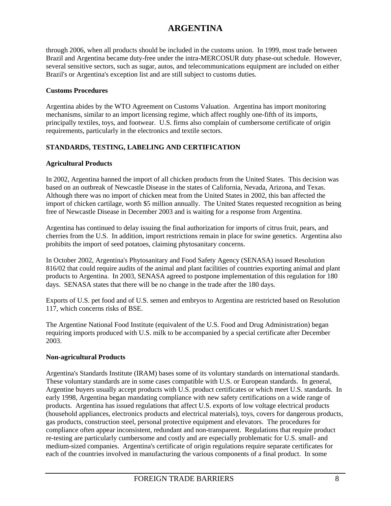through 2006, when all products should be included in the customs union. In 1999, most trade between Brazil and Argentina became duty-free under the intra-MERCOSUR duty phase-out schedule. However, several sensitive sectors, such as sugar, autos, and telecommunications equipment are included on either Brazil's or Argentina's exception list and are still subject to customs duties.

### **Customs Procedures**

Argentina abides by the WTO Agreement on Customs Valuation. Argentina has import monitoring mechanisms, similar to an import licensing regime, which affect roughly one-fifth of its imports, principally textiles, toys, and footwear. U.S. firms also complain of cumbersome certificate of origin requirements, particularly in the electronics and textile sectors.

# **STANDARDS, TESTING, LABELING AND CERTIFICATION**

# **Agricultural Products**

In 2002, Argentina banned the import of all chicken products from the United States. This decision was based on an outbreak of Newcastle Disease in the states of California, Nevada, Arizona, and Texas. Although there was no import of chicken meat from the United States in 2002, this ban affected the import of chicken cartilage, worth \$5 million annually. The United States requested recognition as being free of Newcastle Disease in December 2003 and is waiting for a response from Argentina.

Argentina has continued to delay issuing the final authorization for imports of citrus fruit, pears, and cherries from the U.S. In addition, import restrictions remain in place for swine genetics. Argentina also prohibits the import of seed potatoes, claiming phytosanitary concerns.

In October 2002, Argentina's Phytosanitary and Food Safety Agency (SENASA) issued Resolution 816/02 that could require audits of the animal and plant facilities of countries exporting animal and plant products to Argentina. In 2003, SENASA agreed to postpone implementation of this regulation for 180 days. SENASA states that there will be no change in the trade after the 180 days.

Exports of U.S. pet food and of U.S. semen and embryos to Argentina are restricted based on Resolution 117, which concerns risks of BSE.

The Argentine National Food Institute (equivalent of the U.S. Food and Drug Administration) began requiring imports produced with U.S. milk to be accompanied by a special certificate after December 2003.

# **Non-agricultural Products**

Argentina's Standards Institute (IRAM) bases some of its voluntary standards on international standards. These voluntary standards are in some cases compatible with U.S. or European standards. In general, Argentine buyers usually accept products with U.S. product certificates or which meet U.S. standards. In early 1998, Argentina began mandating compliance with new safety certifications on a wide range of products. Argentina has issued regulations that affect U.S. exports of low voltage electrical products (household appliances, electronics products and electrical materials), toys, covers for dangerous products, gas products, construction steel, personal protective equipment and elevators. The procedures for compliance often appear inconsistent, redundant and non-transparent. Regulations that require product re-testing are particularly cumbersome and costly and are especially problematic for U.S. small- and medium-sized companies. Argentina's certificate of origin regulations require separate certificates for each of the countries involved in manufacturing the various components of a final product. In some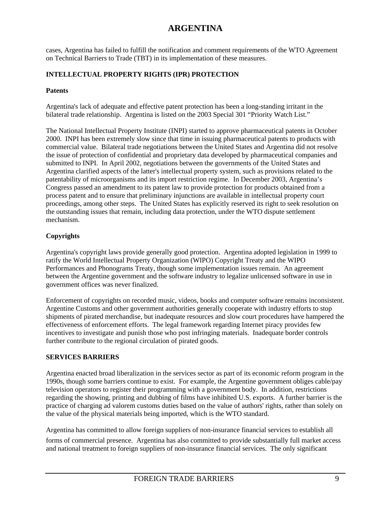cases, Argentina has failed to fulfill the notification and comment requirements of the WTO Agreement on Technical Barriers to Trade (TBT) in its implementation of these measures.

### **INTELLECTUAL PROPERTY RIGHTS (IPR) PROTECTION**

#### **Patents**

Argentina's lack of adequate and effective patent protection has been a long-standing irritant in the bilateral trade relationship. Argentina is listed on the 2003 Special 301 "Priority Watch List."

The National Intellectual Property Institute (INPI) started to approve pharmaceutical patents in October 2000. INPI has been extremely slow since that time in issuing pharmaceutical patents to products with commercial value. Bilateral trade negotiations between the United States and Argentina did not resolve the issue of protection of confidential and proprietary data developed by pharmaceutical companies and submitted to INPI. In April 2002, negotiations between the governments of the United States and Argentina clarified aspects of the latter's intellectual property system, such as provisions related to the patentability of microorganisms and its import restriction regime. In December 2003, Argentina's Congress passed an amendment to its patent law to provide protection for products obtained from a process patent and to ensure that preliminary injunctions are available in intellectual property court proceedings, among other steps. The United States has explicitly reserved its right to seek resolution on the outstanding issues that remain, including data protection, under the WTO dispute settlement mechanism.

### **Copyrights**

Argentina's copyright laws provide generally good protection. Argentina adopted legislation in 1999 to ratify the World Intellectual Property Organization (WIPO) Copyright Treaty and the WIPO Performances and Phonograms Treaty, though some implementation issues remain. An agreement between the Argentine government and the software industry to legalize unlicensed software in use in government offices was never finalized.

Enforcement of copyrights on recorded music, videos, books and computer software remains inconsistent. Argentine Customs and other government authorities generally cooperate with industry efforts to stop shipments of pirated merchandise, but inadequate resources and slow court procedures have hampered the effectiveness of enforcement efforts. The legal framework regarding Internet piracy provides few incentives to investigate and punish those who post infringing materials. Inadequate border controls further contribute to the regional circulation of pirated goods.

### **SERVICES BARRIERS**

Argentina enacted broad liberalization in the services sector as part of its economic reform program in the 1990s, though some barriers continue to exist. For example, the Argentine government obliges cable/pay television operators to register their programming with a government body. In addition, restrictions regarding the showing, printing and dubbing of films have inhibited U.S. exports. A further barrier is the practice of charging ad valorem customs duties based on the value of authors' rights, rather than solely on the value of the physical materials being imported, which is the WTO standard.

Argentina has committed to allow foreign suppliers of non-insurance financial services to establish all

forms of commercial presence. Argentina has also committed to provide substantially full market access and national treatment to foreign suppliers of non-insurance financial services. The only significant